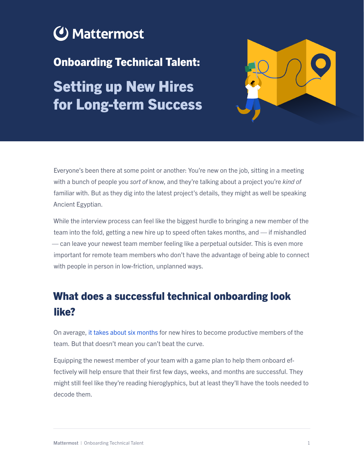

Onboarding Technical Talent:

Setting up New Hires for Long-term Success



Everyone's been there at some point or another: You're new on the job, sitting in a meeting with a bunch of people you *sort of* know, and they're talking about a project you're *kind of*  familiar with. But as they dig into the latest project's details, they might as well be speaking Ancient Egyptian.

While the interview process can feel like the biggest hurdle to bringing a new member of the team into the fold, getting a new hire up to speed often takes months, and — if mishandled — can leave your newest team member feeling like a perpetual outsider. This is even more important for remote team members who don't have the advantage of being able to connect with people in person in low-friction, unplanned ways.

# What does a successful technical onboarding look like?

On average, [it takes about six months](https://hbr.org/2015/05/how-to-get-a-new-employee-up-to-speed) for new hires to become productive members of the team. But that doesn't mean you can't beat the curve.

Equipping the newest member of your team with a game plan to help them onboard effectively will help ensure that their first few days, weeks, and months are successful. They might still feel like they're reading hieroglyphics, but at least they'll have the tools needed to decode them.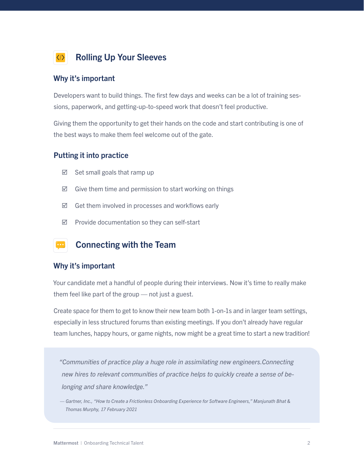

#### Why it's important

Developers want to build things. The first few days and weeks can be a lot of training sessions, paperwork, and getting-up-to-speed work that doesn't feel productive.

Giving them the opportunity to get their hands on the code and start contributing is one of the best ways to make them feel welcome out of the gate.

#### Putting it into practice

- $\boxtimes$  Set small goals that ramp up
- $\boxtimes$  Give them time and permission to start working on things
- $\boxtimes$  Get them involved in processes and workflows early
- $\boxtimes$  Provide documentation so they can self-start



#### Why it's important

Your candidate met a handful of people during their interviews. Now it's time to really make them feel like part of the group — not just a guest.

Create space for them to get to know their new team both 1-on-1s and in larger team settings, especially in less structured forums than existing meetings. If you don't already have regular team lunches, happy hours, or game nights, now might be a great time to start a new tradition!

*"Communities of practice play a huge role in assimilating new engineers.Connecting new hires to relevant communities of practice helps to quickly create a sense of belonging and share knowledge."* 

*— Gartner, Inc., "How to Create a Frictionless Onboarding Experience for Software Engineers," Manjunath Bhat & Thomas Murphy, 17 February 2021*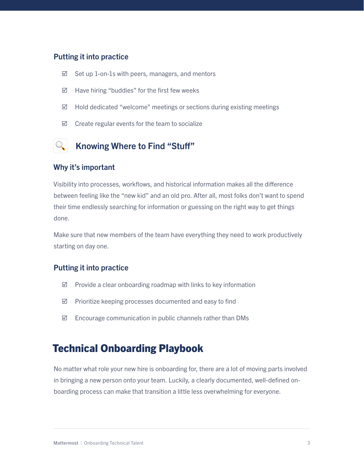#### Putting it into practice

- $\boxtimes$  Set up 1-on-1s with peers, managers, and mentors
- $\boxtimes$  Have hiring "buddies" for the first few weeks
- $\boxtimes$  Hold dedicated "welcome" meetings or sections during existing meetings
- $\boxtimes$  Create regular events for the team to socialize

## Knowing Where to Find "Stuff"

#### Why it's important

Visibility into processes, workflows, and historical information makes all the difference between feeling like the "new kid" and an old pro. After all, most folks don't want to spend their time endlessly searching for information or guessing on the right way to get things done.

Make sure that new members of the team have everything they need to work productively starting on day one.

#### Putting it into practice

- $\boxtimes$  Provide a clear onboarding roadmap with links to key information
- $\boxtimes$  Prioritize keeping processes documented and easy to find
- $\boxtimes$  Encourage communication in public channels rather than DMs

## Technical Onboarding Playbook

No matter what role your new hire is onboarding for, there are a lot of moving parts involved in bringing a new person onto your team. Luckily, a clearly documented, well-defined onboarding process can make that transition a little less overwhelming for everyone.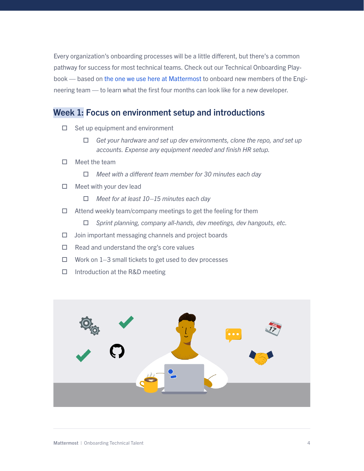Every organization's onboarding processes will be a little different, but there's a common pathway for success for most technical teams. Check out our Technical Onboarding Playbook — based on [the one we use here at Mattermost](https://handbook.mattermost.com/operations/workplace/people/working-at-mattermost/onboarding/engineer-onboarding) to onboard new members of the Engineering team — to learn what the first four months can look like for a new developer.

### Week 1: Focus on environment setup and introductions

- $\Box$  Set up equipment and environment
	- *Get your hardware and set up dev environments, clone the repo, and set up accounts. Expense any equipment needed and finish HR setup.*
- $\Box$  Meet the team
	- *Meet with a different team member for 30 minutes each day*
- $\Box$  Meet with your dev lead
	- *Meet for at least 10–15 minutes each day*
- $\Box$  Attend weekly team/company meetings to get the feeling for them
	- *Sprint planning, company all-hands, dev meetings, dev hangouts, etc.*
- $\Box$  Join important messaging channels and project boards
- $\Box$  Read and understand the org's core values
- $\Box$  Work on 1–3 small tickets to get used to dev processes
- $\Box$  Introduction at the R&D meeting

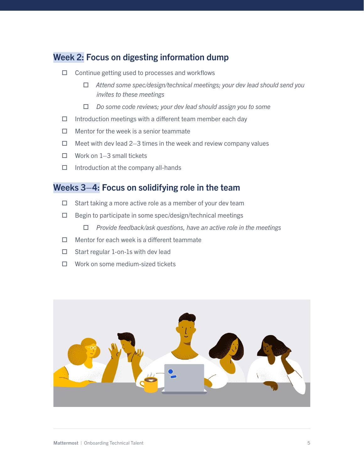### Week 2: Focus on digesting information dump

- $\Box$  Continue getting used to processes and workflows
	- *Attend some spec/design/technical meetings; your dev lead should send you invites to these meetings*
	- *Do some code reviews; your dev lead should assign you to some*
- $\Box$  Introduction meetings with a different team member each day
- $\Box$  Mentor for the week is a senior teammate
- $\Box$  Meet with dev lead 2–3 times in the week and review company values
- $\Box$  Work on 1–3 small tickets
- $\Box$  Introduction at the company all-hands

### Weeks 3–4: Focus on solidifying role in the team

- $\Box$  Start taking a more active role as a member of your dev team
- $\Box$  Begin to participate in some spec/design/technical meetings
	- *Provide feedback/ask questions, have an active role in the meetings*
- $\Box$  Mentor for each week is a different teammate
- $\Box$  Start regular 1-on-1s with dev lead
- Work on some medium-sized tickets

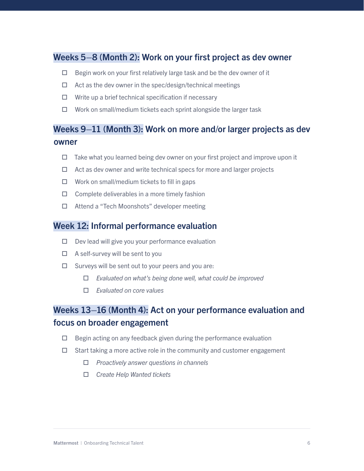### Weeks 5–8 (Month 2): Work on your first project as dev owner

- $\Box$  Begin work on your first relatively large task and be the dev owner of it
- $\Box$  Act as the dev owner in the spec/design/technical meetings
- $\Box$  Write up a brief technical specification if necessary
- $\Box$  Work on small/medium tickets each sprint alongside the larger task

### Weeks 9–11 (Month 3): Work on more and/or larger projects as dev owner

- $\Box$  Take what you learned being dev owner on your first project and improve upon it
- $\Box$  Act as dev owner and write technical specs for more and larger projects
- $\Box$  Work on small/medium tickets to fill in gaps
- $\Box$  Complete deliverables in a more timely fashion
- Attend a "Tech Moonshots" developer meeting

### Week 12: Informal performance evaluation

- $\Box$  Dev lead will give you your performance evaluation
- $\Box$  A self-survey will be sent to you
- $\Box$  Surveys will be sent out to your peers and you are:
	- *Evaluated on what's being done well, what could be improved*
	- *Evaluated on core values*

### Weeks 13–16 (Month 4): Act on your performance evaluation and focus on broader engagement

- $\Box$  Begin acting on any feedback given during the performance evaluation
- $\Box$  Start taking a more active role in the community and customer engagement
	- *Proactively answer questions in channels*
	- *Create Help Wanted tickets*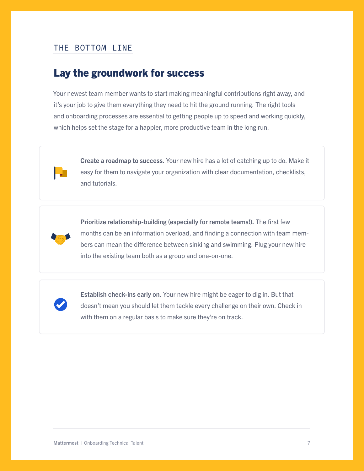### THE BOTTOM LINE

## Lay the groundwork for success

Your newest team member wants to start making meaningful contributions right away, and it's your job to give them everything they need to hit the ground running. The right tools and onboarding processes are essential to getting people up to speed and working quickly, which helps set the stage for a happier, more productive team in the long run.



Create a roadmap to success. Your new hire has a lot of catching up to do. Make it easy for them to navigate your organization with clear documentation, checklists, and tutorials.



Prioritize relationship-building (especially for remote teams!). The first few months can be an information overload, and finding a connection with team members can mean the difference between sinking and swimming. Plug your new hire into the existing team both as a group and one-on-one.



Establish check-ins early on. Your new hire might be eager to dig in. But that doesn't mean you should let them tackle every challenge on their own. Check in with them on a regular basis to make sure they're on track.